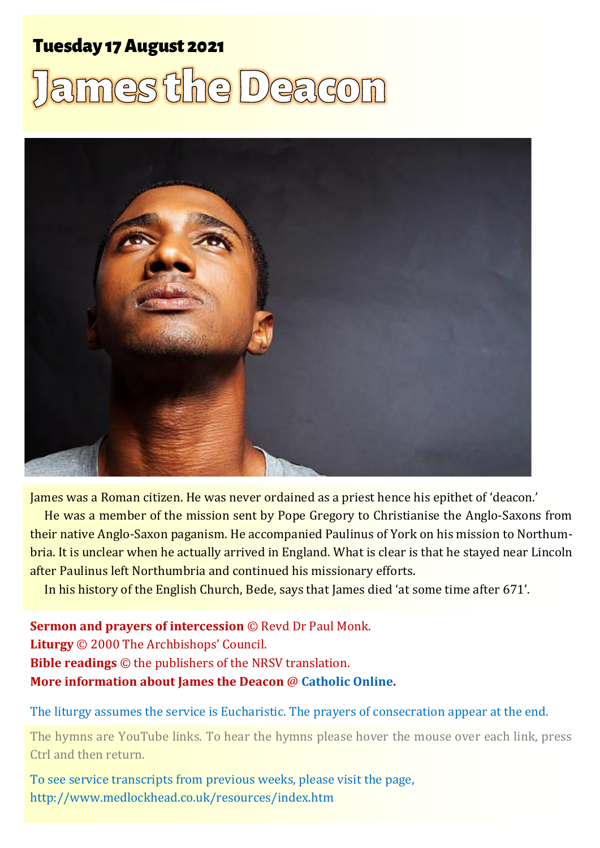### **Tuesday 17 August 2021**

# mes the Deaco



James was a Roman citizen. He was never ordained as a priest hence his epithet of 'deacon.'

He was a member of the mission sent by Pope Gregory to Christianise the Anglo-Saxons from their native Anglo-Saxon paganism. He accompanied Paulinus of York on his mission to Northumbria. It is unclear when he actually arrived in England. What is clear is that he stayed near Lincoln after Paulinus left Northumbria and continued his missionary efforts.

In his history of the English Church, Bede, says that James died 'at some time after 671'.

**Sermon and prayers of intercession** © Revd Dr Paul Monk. **Liturgy** © 2000 The Archbishops' Council. **Bible readings** © the publishers of the NRSV translation. **More information about James the Deacon** @ **[Catholic Online.](https://www.catholic.org/saints/saint.php?saint_id=3899)** 

The liturgy assumes the service is Eucharistic. The prayers of consecration appear at the end.

The hymns are YouTube links. To hear the hymns please hover the mouse over each link, press Ctrl and then return.

To see service transcripts from previous weeks, please visit the page, <http://www.medlockhead.co.uk/resources/index.htm>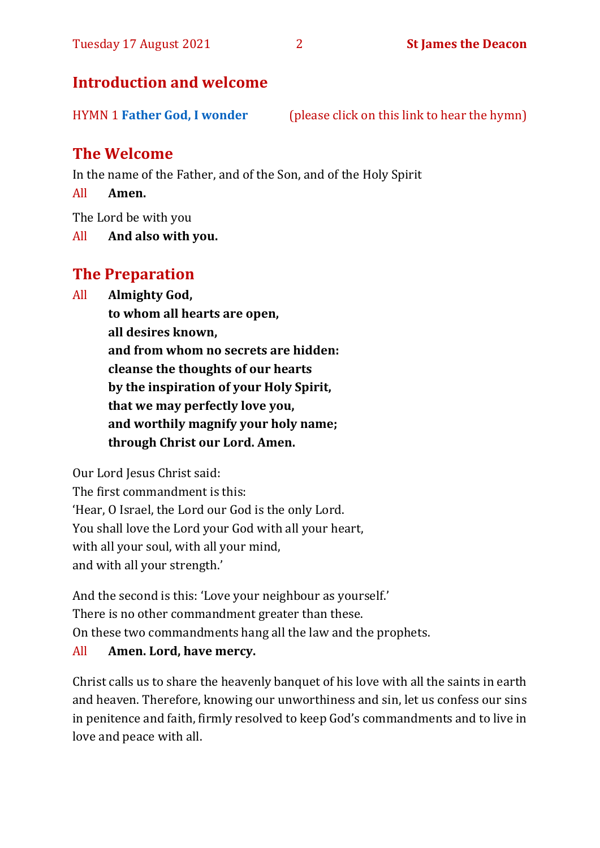#### **Introduction and welcome**

HYMN 1 **[Father God, I wonder](https://youtu.be/nPT8tzdC_sw)** (please click on this link to hear the hymn)

#### **The Welcome**

In the name of the Father, and of the Son, and of the Holy Spirit

All **Amen.**

The Lord be with you

All **And also with you.**

#### **The Preparation**

All **Almighty God,**

**to whom all hearts are open, all desires known, and from whom no secrets are hidden: cleanse the thoughts of our hearts by the inspiration of your Holy Spirit, that we may perfectly love you, and worthily magnify your holy name; through Christ our Lord. Amen.**

Our Lord Jesus Christ said:

The first commandment is this: 'Hear, O Israel, the Lord our God is the only Lord. You shall love the Lord your God with all your heart, with all your soul, with all your mind, and with all your strength.'

And the second is this: 'Love your neighbour as yourself.' There is no other commandment greater than these. On these two commandments hang all the law and the prophets.

#### All **Amen. Lord, have mercy.**

Christ calls us to share the heavenly banquet of his love with all the saints in earth and heaven. Therefore, knowing our unworthiness and sin, let us confess our sins in penitence and faith, firmly resolved to keep God's commandments and to live in love and peace with all.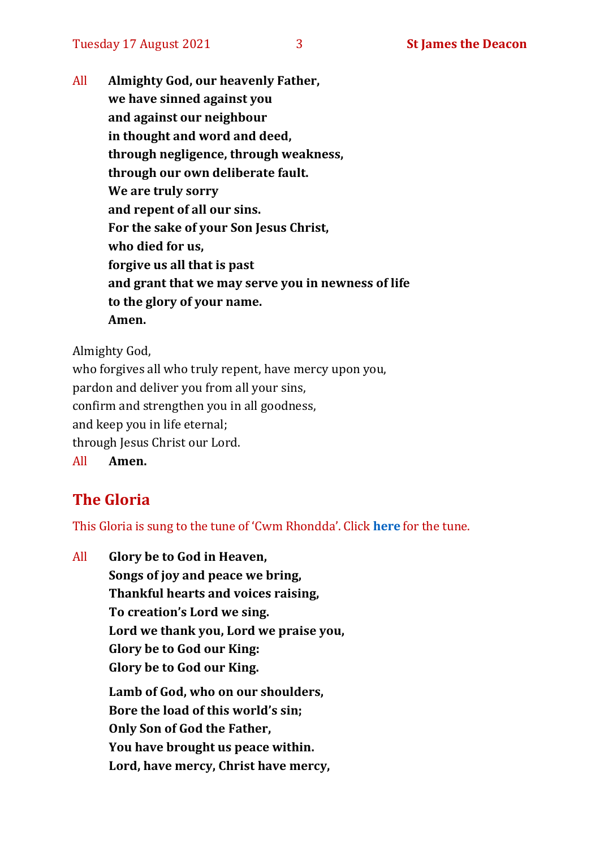All **Almighty God, our heavenly Father, we have sinned against you and against our neighbour in thought and word and deed, through negligence, through weakness, through our own deliberate fault. We are truly sorry and repent of all our sins. For the sake of your Son Jesus Christ, who died for us, forgive us all that is past and grant that we may serve you in newness of life to the glory of your name. Amen.**

Almighty God,

who forgives all who truly repent, have mercy upon you, pardon and deliver you from all your sins, confirm and strengthen you in all goodness, and keep you in life eternal; through Jesus Christ our Lord. All **Amen.**

#### **The Gloria**

This Gloria is sung to the tune of 'Cwm Rhondda'. Click **[here](https://www.youtube.com/watch?v=l71MLQ22dIk)** for the tune.

All **Glory be to God in Heaven, Songs of joy and peace we bring, Thankful hearts and voices raising, To creation's Lord we sing. Lord we thank you, Lord we praise you, Glory be to God our King: Glory be to God our King. Lamb of God, who on our shoulders, Bore the load of this world's sin; Only Son of God the Father, You have brought us peace within. Lord, have mercy, Christ have mercy,**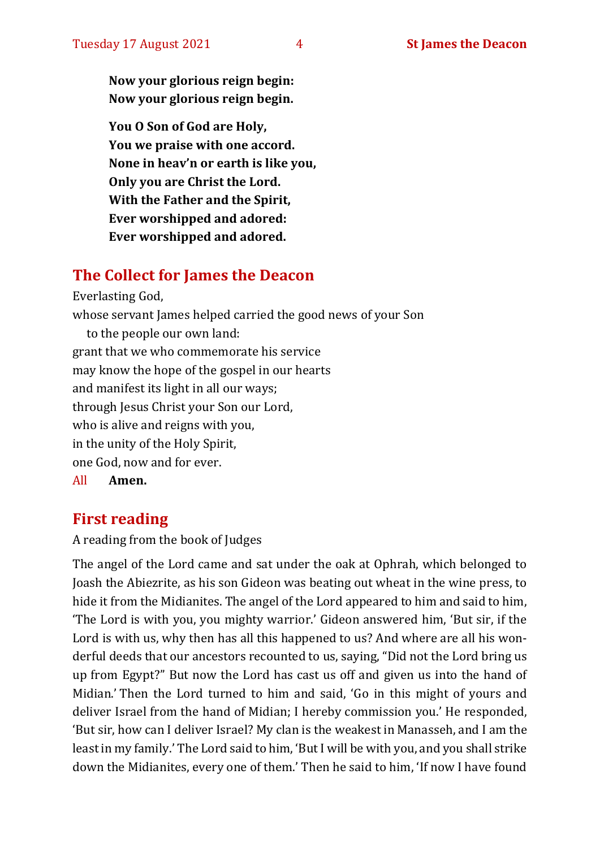**Now your glorious reign begin: Now your glorious reign begin.**

**You O Son of God are Holy, You we praise with one accord. None in heav'n or earth is like you, Only you are Christ the Lord. With the Father and the Spirit, Ever worshipped and adored: Ever worshipped and adored.**

#### **The Collect for James the Deacon**

Everlasting God,

whose servant James helped carried the good news of your Son to the people our own land: grant that we who commemorate his service may know the hope of the gospel in our hearts and manifest its light in all our ways; through Jesus Christ your Son our Lord, who is alive and reigns with you, in the unity of the Holy Spirit, one God, now and for ever. All **Amen.**

#### **First reading**

A reading from the book of Judges

The angel of the Lord came and sat under the oak at Ophrah, which belonged to Joash the Abiezrite, as his son Gideon was beating out wheat in the wine press, to hide it from the Midianites. The angel of the Lord appeared to him and said to him, 'The Lord is with you, you mighty warrior.' Gideon answered him, 'But sir, if the Lord is with us, why then has all this happened to us? And where are all his wonderful deeds that our ancestors recounted to us, saying, "Did not the Lord bring us up from Egypt?" But now the Lord has cast us off and given us into the hand of Midian.' Then the Lord turned to him and said, 'Go in this might of yours and deliver Israel from the hand of Midian; I hereby commission you.' He responded, 'But sir, how can I deliver Israel? My clan is the weakest in Manasseh, and I am the least in my family.' The Lord said to him, 'But I will be with you, and you shall strike down the Midianites, every one of them.' Then he said to him, 'If now I have found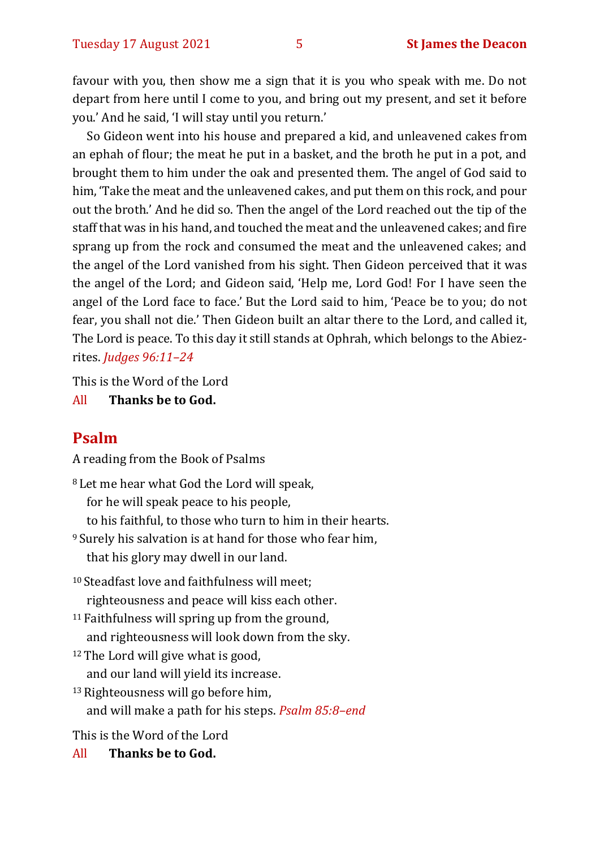favour with you, then show me a sign that it is you who speak with me. Do not depart from here until I come to you, and bring out my present, and set it before you.' And he said, 'I will stay until you return.'

So Gideon went into his house and prepared a kid, and unleavened cakes from an ephah of flour; the meat he put in a basket, and the broth he put in a pot, and brought them to him under the oak and presented them. The angel of God said to him, 'Take the meat and the unleavened cakes, and put them on this rock, and pour out the broth.' And he did so. Then the angel of the Lord reached out the tip of the staff that was in his hand, and touched the meat and the unleavened cakes; and fire sprang up from the rock and consumed the meat and the unleavened cakes; and the angel of the Lord vanished from his sight. Then Gideon perceived that it was the angel of the Lord; and Gideon said, 'Help me, Lord God! For I have seen the angel of the Lord face to face.' But the Lord said to him, 'Peace be to you; do not fear, you shall not die.' Then Gideon built an altar there to the Lord, and called it, The Lord is peace. To this day it still stands at Ophrah, which belongs to the Abiezrites. *Judges 96:11–24*

This is the Word of the Lord

#### All **Thanks be to God.**

#### **Psalm**

A reading from the Book of Psalms

<sup>8</sup> Let me hear what God the Lord will speak, for he will speak peace to his people, to his faithful, to those who turn to him in their hearts. <sup>9</sup> Surely his salvation is at hand for those who fear him, that his glory may dwell in our land. <sup>10</sup> Steadfast love and faithfulness will meet;

- righteousness and peace will kiss each other.
- <sup>11</sup> Faithfulness will spring up from the ground, and righteousness will look down from the sky.
- <sup>12</sup>The Lord will give what is good, and our land will yield its increase.
- <sup>13</sup>Righteousness will go before him,
	- and will make a path for his steps. *Psalm 85:8–end*

This is the Word of the Lord

All **Thanks be to God.**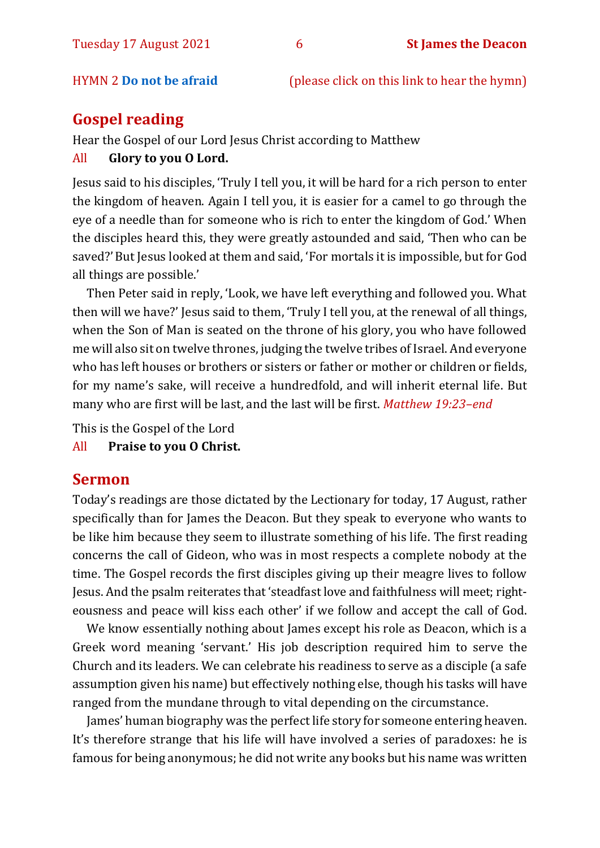#### HYMN 2 **[Do not be afraid](https://www.youtube.com/watch?v=IJ0jOjqISPU)** (please click on this link to hear the hymn)

#### **Gospel reading**

Hear the Gospel of our Lord Jesus Christ according to Matthew

#### All **Glory to you O Lord.**

Jesus said to his disciples, 'Truly I tell you, it will be hard for a rich person to enter the kingdom of heaven. Again I tell you, it is easier for a camel to go through the eye of a needle than for someone who is rich to enter the kingdom of God.' When the disciples heard this, they were greatly astounded and said, 'Then who can be saved?'But Jesus looked at them and said, 'For mortals it is impossible, but for God all things are possible.'

Then Peter said in reply, 'Look, we have left everything and followed you. What then will we have?' Jesus said to them, 'Truly I tell you, at the renewal of all things, when the Son of Man is seated on the throne of his glory, you who have followed me will also sit on twelve thrones, judging the twelve tribes of Israel. And everyone who has left houses or brothers or sisters or father or mother or children or fields, for my name's sake, will receive a hundredfold, and will inherit eternal life. But many who are first will be last, and the last will be first. *Matthew 19:23–end*

This is the Gospel of the Lord

All **Praise to you O Christ.** 

#### **Sermon**

Today's readings are those dictated by the Lectionary for today, 17 August, rather specifically than for James the Deacon. But they speak to everyone who wants to be like him because they seem to illustrate something of his life. The first reading concerns the call of Gideon, who was in most respects a complete nobody at the time. The Gospel records the first disciples giving up their meagre lives to follow Jesus. And the psalm reiterates that 'steadfast love and faithfulness will meet; righteousness and peace will kiss each other' if we follow and accept the call of God.

We know essentially nothing about James except his role as Deacon, which is a Greek word meaning 'servant.' His job description required him to serve the Church and its leaders. We can celebrate his readiness to serve as a disciple (a safe assumption given his name) but effectively nothing else, though his tasks will have ranged from the mundane through to vital depending on the circumstance.

James' human biography was the perfect life story for someone entering heaven. It's therefore strange that his life will have involved a series of paradoxes: he is famous for being anonymous; he did not write any books but his name was written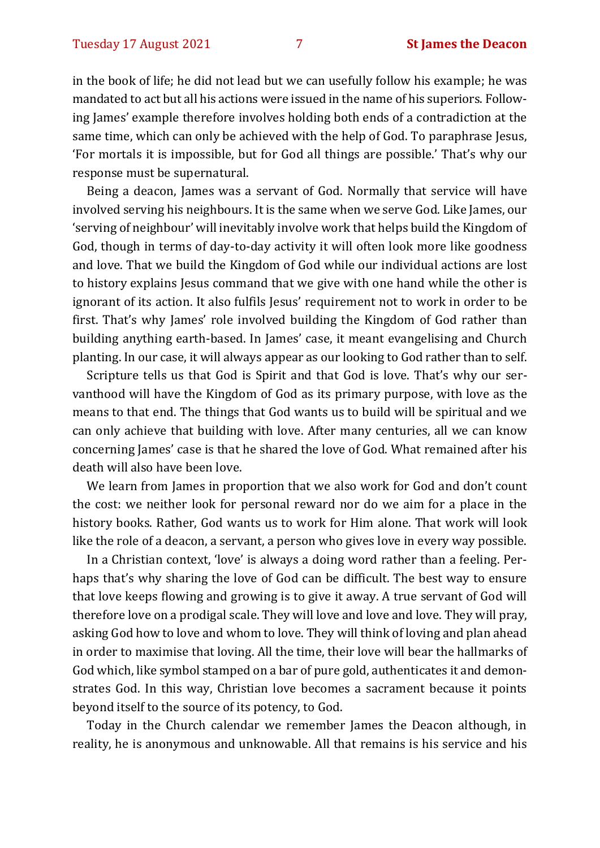in the book of life; he did not lead but we can usefully follow his example; he was mandated to act but all his actions were issued in the name of his superiors. Following James' example therefore involves holding both ends of a contradiction at the same time, which can only be achieved with the help of God. To paraphrase Jesus, 'For mortals it is impossible, but for God all things are possible.' That's why our response must be supernatural.

Being a deacon, James was a servant of God. Normally that service will have involved serving his neighbours. It is the same when we serve God. Like James, our 'serving of neighbour' will inevitably involve work that helps build the Kingdom of God, though in terms of day-to-day activity it will often look more like goodness and love. That we build the Kingdom of God while our individual actions are lost to history explains Jesus command that we give with one hand while the other is ignorant of its action. It also fulfils Jesus' requirement not to work in order to be first. That's why James' role involved building the Kingdom of God rather than building anything earth-based. In James' case, it meant evangelising and Church planting. In our case, it will always appear as our looking to God rather than to self.

Scripture tells us that God is Spirit and that God is love. That's why our servanthood will have the Kingdom of God as its primary purpose, with love as the means to that end. The things that God wants us to build will be spiritual and we can only achieve that building with love. After many centuries, all we can know concerning James' case is that he shared the love of God. What remained after his death will also have been love.

We learn from James in proportion that we also work for God and don't count the cost: we neither look for personal reward nor do we aim for a place in the history books. Rather, God wants us to work for Him alone. That work will look like the role of a deacon, a servant, a person who gives love in every way possible.

In a Christian context, 'love' is always a doing word rather than a feeling. Perhaps that's why sharing the love of God can be difficult. The best way to ensure that love keeps flowing and growing is to give it away. A true servant of God will therefore love on a prodigal scale. They will love and love and love. They will pray, asking God how to love and whom to love. They will think of loving and plan ahead in order to maximise that loving. All the time, their love will bear the hallmarks of God which, like symbol stamped on a bar of pure gold, authenticates it and demonstrates God. In this way, Christian love becomes a sacrament because it points beyond itself to the source of its potency, to God.

Today in the Church calendar we remember James the Deacon although, in reality, he is anonymous and unknowable. All that remains is his service and his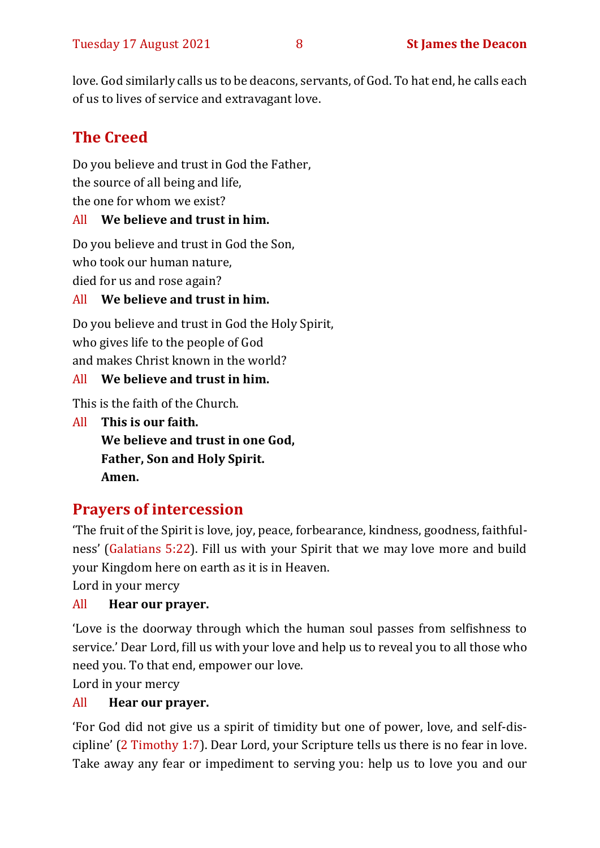love. God similarly calls us to be deacons, servants, of God. To hat end, he calls each of us to lives of service and extravagant love.

### **The Creed**

Do you believe and trust in God the Father, the source of all being and life, the one for whom we exist?

#### All **We believe and trust in him.**

Do you believe and trust in God the Son,

who took our human nature,

died for us and rose again?

#### All **We believe and trust in him.**

Do you believe and trust in God the Holy Spirit, who gives life to the people of God and makes Christ known in the world?

#### All **We believe and trust in him.**

This is the faith of the Church.

All **This is our faith. We believe and trust in one God, Father, Son and Holy Spirit. Amen.**

#### **Prayers of intercession**

'The fruit of the Spirit is love, joy, peace, forbearance, kindness, goodness, faithfulness' (Galatians 5:22). Fill us with your Spirit that we may love more and build your Kingdom here on earth as it is in Heaven.

Lord in your mercy

#### All **Hear our prayer.**

'Love is the doorway through which the human soul passes from selfishness to service.' Dear Lord, fill us with your love and help us to reveal you to all those who need you. To that end, empower our love.

Lord in your mercy

#### All **Hear our prayer.**

'For God did not give us a spirit of timidity but one of power, love, and self-discipline' (2 Timothy 1:7). Dear Lord, your Scripture tells us there is no fear in love. Take away any fear or impediment to serving you: help us to love you and our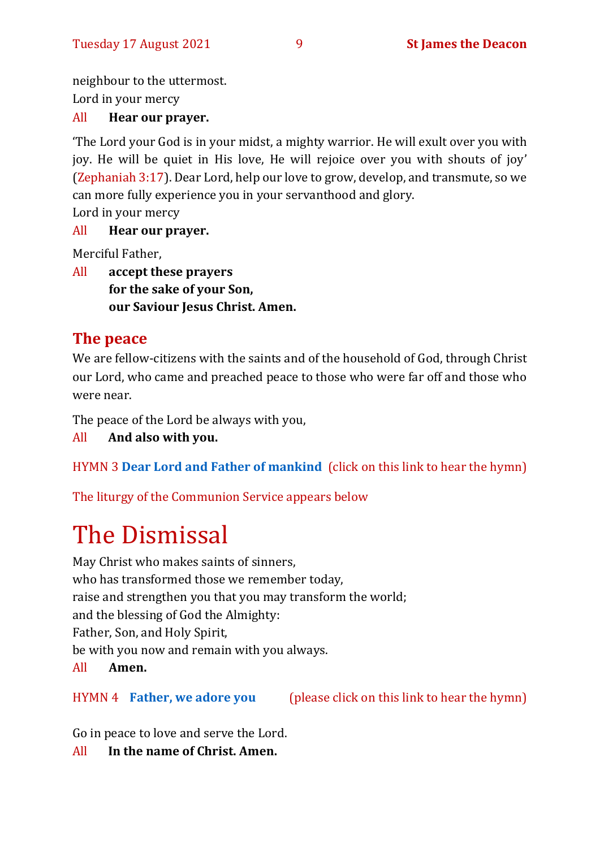neighbour to the uttermost.

Lord in your mercy

#### All **Hear our prayer.**

'The Lord your God is in your midst, a mighty warrior. He will exult over you with joy. He will be quiet in His love, He will rejoice over you with shouts of joy' (Zephaniah 3:17). Dear Lord, help our love to grow, develop, and transmute, so we can more fully experience you in your servanthood and glory.

Lord in your mercy

#### All **Hear our prayer.**

Merciful Father,

All **accept these prayers for the sake of your Son, our Saviour Jesus Christ. Amen.**

#### **The peace**

We are fellow-citizens with the saints and of the household of God, through Christ our Lord, who came and preached peace to those who were far off and those who were near.

The peace of the Lord be always with you,

All **And also with you.**

HYMN 3 **[Dear Lord and Father of mankind](https://www.youtube.com/watch?v=bsCLNuU6Td0)** (click on this link to hear the hymn)

The liturgy of the Communion Service appears below

# The Dismissal

May Christ who makes saints of sinners, who has transformed those we remember today, raise and strengthen you that you may transform the world; and the blessing of God the Almighty: Father, Son, and Holy Spirit, be with you now and remain with you always.

#### All **Amen.**

#### HYMN 4 **[Father, we adore you](https://youtu.be/8z456REiRO4)** (please click on this link to hear the hymn)

Go in peace to love and serve the Lord.

All **In the name of Christ. Amen.**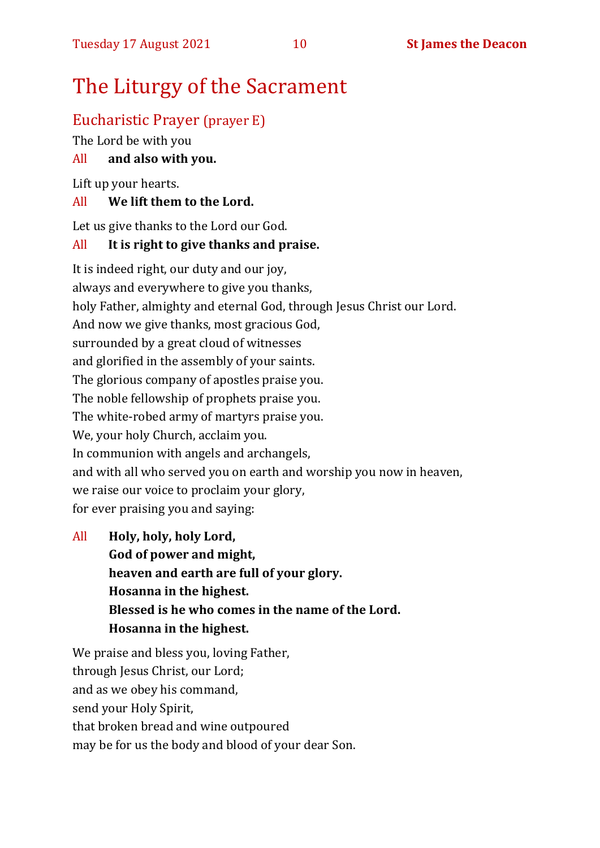## The Liturgy of the Sacrament

#### Eucharistic Prayer (prayer E)

The Lord be with you

#### All **and also with you.**

Lift up your hearts.

#### All **We lift them to the Lord.**

Let us give thanks to the Lord our God.

#### All **It is right to give thanks and praise.**

It is indeed right, our duty and our joy, always and everywhere to give you thanks, holy Father, almighty and eternal God, through Jesus Christ our Lord. And now we give thanks, most gracious God, surrounded by a great cloud of witnesses and glorified in the assembly of your saints. The glorious company of apostles praise you. The noble fellowship of prophets praise you. The white-robed army of martyrs praise you. We, your holy Church, acclaim you. In communion with angels and archangels, and with all who served you on earth and worship you now in heaven, we raise our voice to proclaim your glory, for ever praising you and saying:

All **Holy, holy, holy Lord, God of power and might, heaven and earth are full of your glory. Hosanna in the highest. Blessed is he who comes in the name of the Lord. Hosanna in the highest.**

We praise and bless you, loving Father, through Jesus Christ, our Lord; and as we obey his command, send your Holy Spirit, that broken bread and wine outpoured may be for us the body and blood of your dear Son.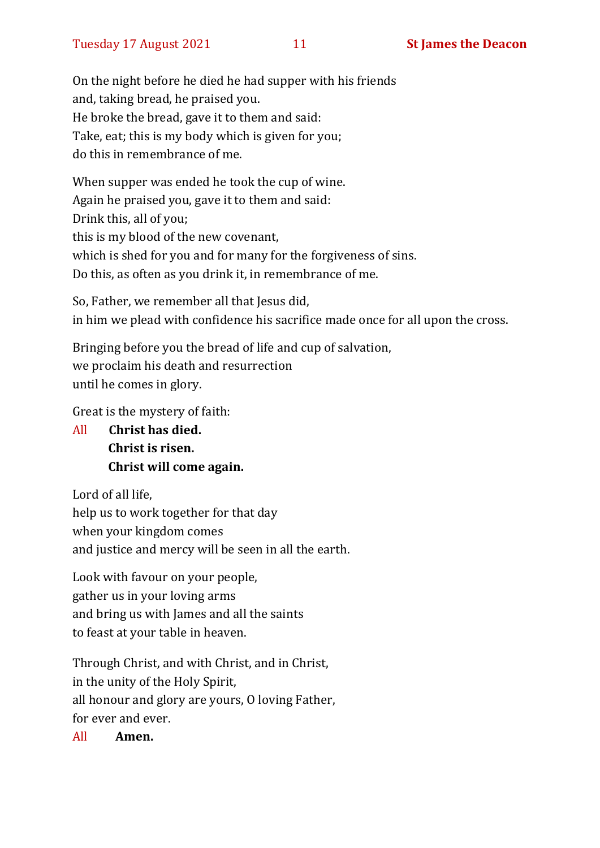On the night before he died he had supper with his friends and, taking bread, he praised you. He broke the bread, gave it to them and said: Take, eat; this is my body which is given for you; do this in remembrance of me.

When supper was ended he took the cup of wine. Again he praised you, gave it to them and said: Drink this, all of you; this is my blood of the new covenant, which is shed for you and for many for the forgiveness of sins. Do this, as often as you drink it, in remembrance of me.

So, Father, we remember all that Jesus did, in him we plead with confidence his sacrifice made once for all upon the cross.

Bringing before you the bread of life and cup of salvation, we proclaim his death and resurrection until he comes in glory.

Great is the mystery of faith:

All **Christ has died. Christ is risen. Christ will come again.**

Lord of all life, help us to work together for that day when your kingdom comes and justice and mercy will be seen in all the earth.

Look with favour on your people, gather us in your loving arms and bring us with James and all the saints to feast at your table in heaven.

Through Christ, and with Christ, and in Christ, in the unity of the Holy Spirit, all honour and glory are yours, O loving Father, for ever and ever.

All **Amen.**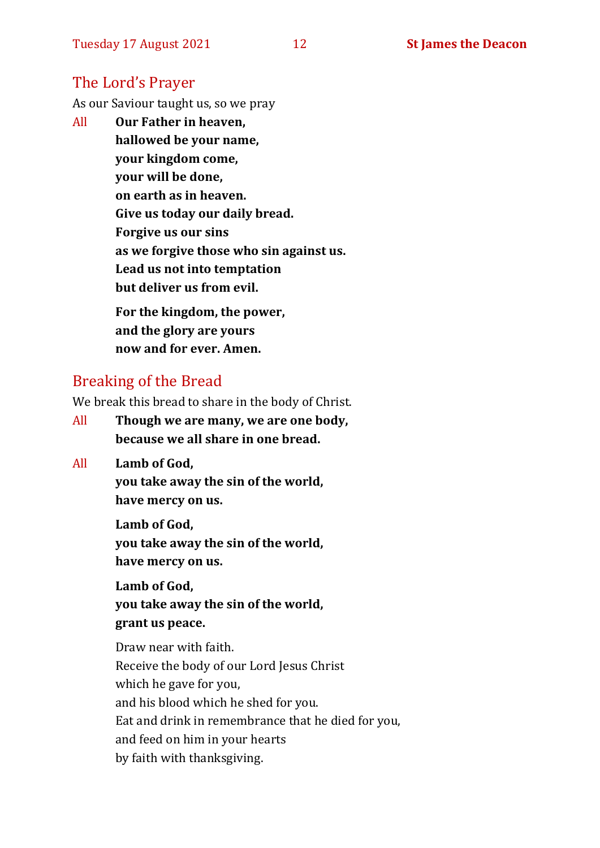#### The Lord's Prayer

As our Saviour taught us, so we pray

All **Our Father in heaven, hallowed be your name, your kingdom come, your will be done, on earth as in heaven. Give us today our daily bread. Forgive us our sins as we forgive those who sin against us. Lead us not into temptation but deliver us from evil. For the kingdom, the power,** 

**and the glory are yours now and for ever. Amen.**

#### Breaking of the Bread

We break this bread to share in the body of Christ.

- All **Though we are many, we are one body, because we all share in one bread.**
- All **Lamb of God,**

**you take away the sin of the world, have mercy on us.**

**Lamb of God, you take away the sin of the world, have mercy on us.**

**Lamb of God, you take away the sin of the world, grant us peace.**

Draw near with faith. Receive the body of our Lord Jesus Christ which he gave for you, and his blood which he shed for you. Eat and drink in remembrance that he died for you, and feed on him in your hearts by faith with thanksgiving.